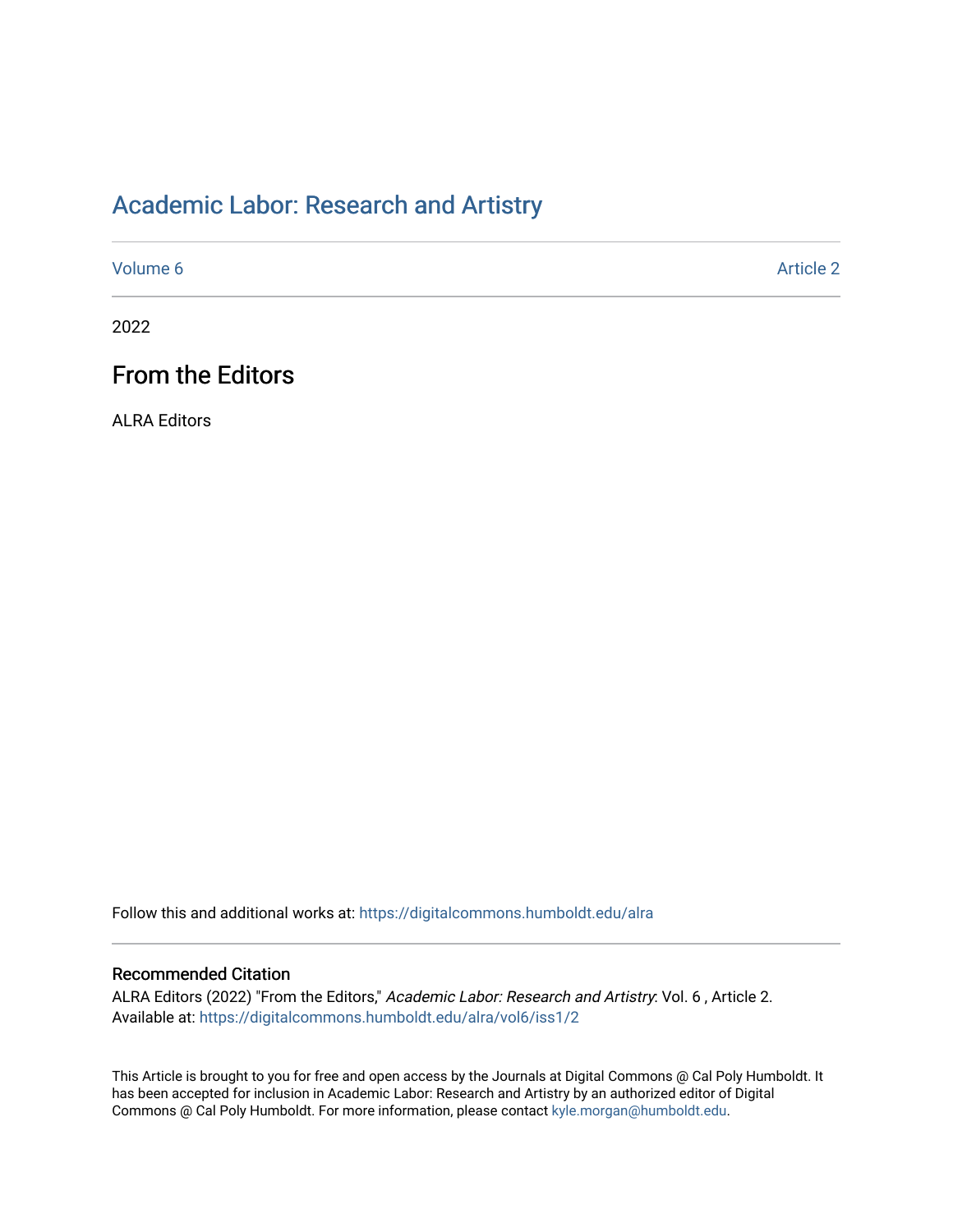## [Academic Labor: Research and Artistry](https://digitalcommons.humboldt.edu/alra)

[Volume 6](https://digitalcommons.humboldt.edu/alra/vol6) [Article 2](https://digitalcommons.humboldt.edu/alra/vol6/iss1/2) 

2022

## From the Editors

ALRA Editors

Follow this and additional works at: [https://digitalcommons.humboldt.edu/alra](https://digitalcommons.humboldt.edu/alra?utm_source=digitalcommons.humboldt.edu%2Falra%2Fvol6%2Fiss1%2F2&utm_medium=PDF&utm_campaign=PDFCoverPages)

## Recommended Citation

ALRA Editors (2022) "From the Editors," Academic Labor: Research and Artistry: Vol. 6 , Article 2. Available at: [https://digitalcommons.humboldt.edu/alra/vol6/iss1/2](https://digitalcommons.humboldt.edu/alra/vol6/iss1/2?utm_source=digitalcommons.humboldt.edu%2Falra%2Fvol6%2Fiss1%2F2&utm_medium=PDF&utm_campaign=PDFCoverPages)

This Article is brought to you for free and open access by the Journals at Digital Commons @ Cal Poly Humboldt. It has been accepted for inclusion in Academic Labor: Research and Artistry by an authorized editor of Digital Commons @ Cal Poly Humboldt. For more information, please contact [kyle.morgan@humboldt.edu](mailto:kyle.morgan@humboldt.edu).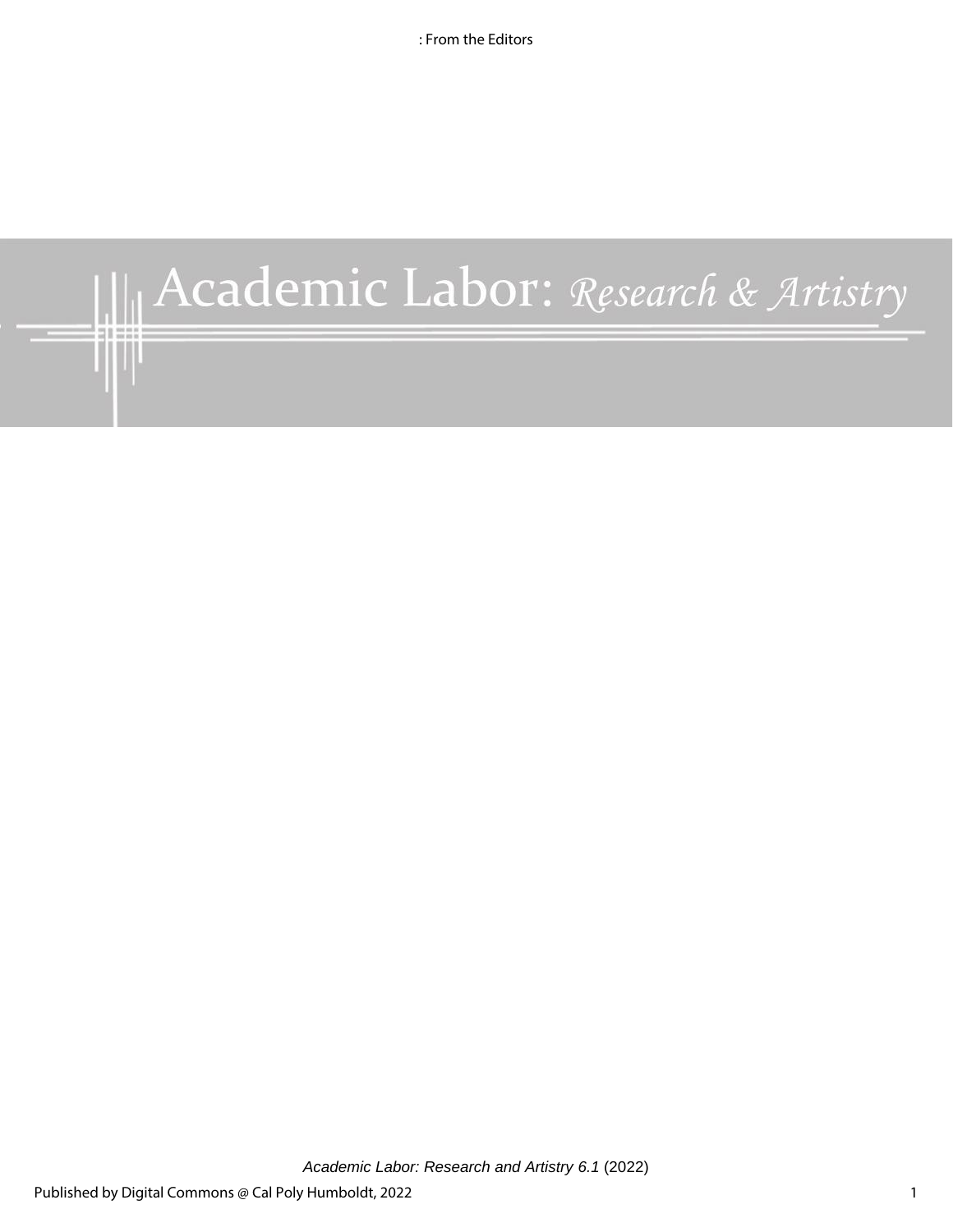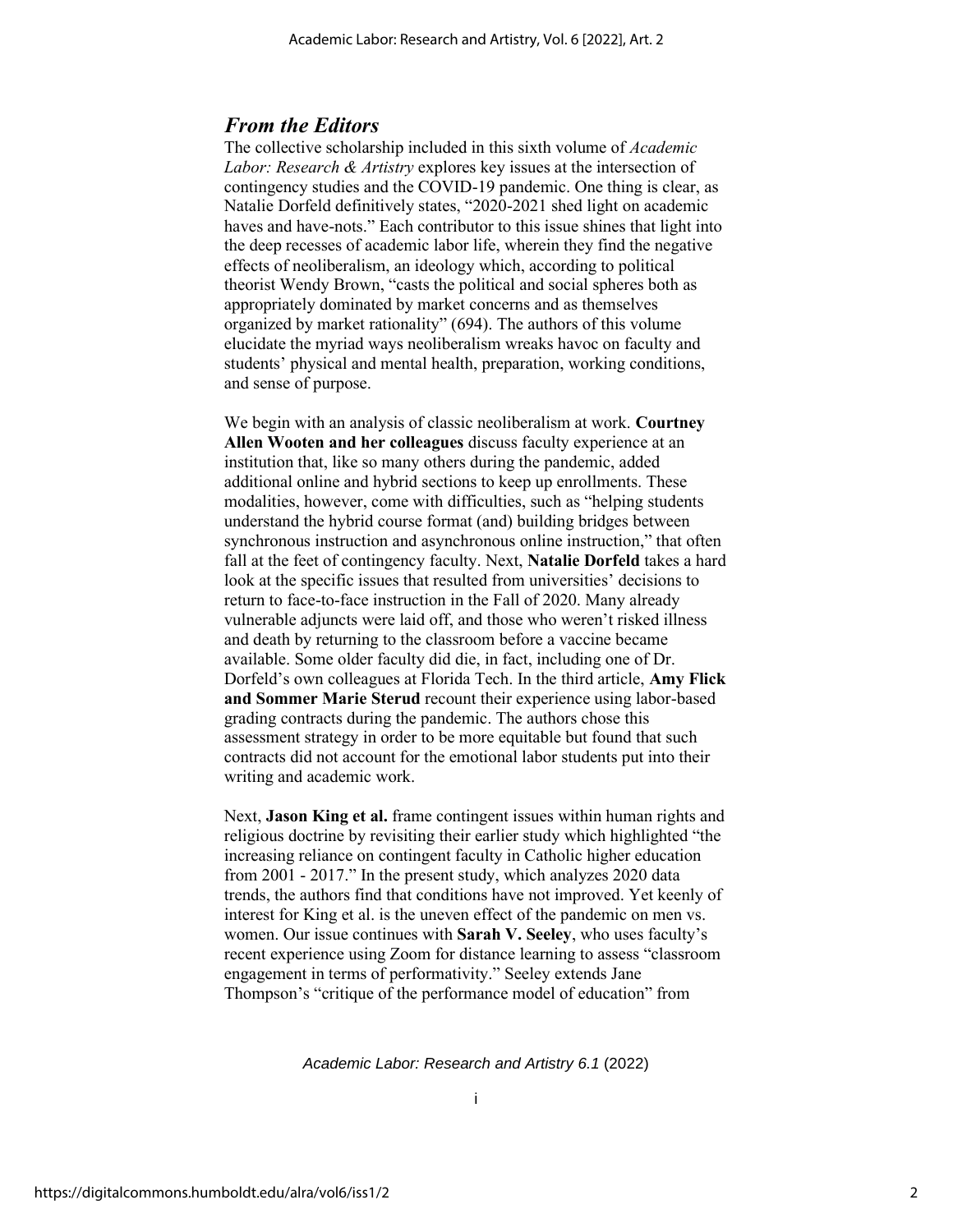## *From the Editors*

The collective scholarship included in this sixth volume of *Academic Labor: Research & Artistry* explores key issues at the intersection of contingency studies and the COVID-19 pandemic. One thing is clear, as Natalie Dorfeld definitively states, "2020-2021 shed light on academic haves and have-nots." Each contributor to this issue shines that light into the deep recesses of academic labor life, wherein they find the negative effects of neoliberalism, an ideology which, according to political theorist Wendy Brown, "casts the political and social spheres both as appropriately dominated by market concerns and as themselves organized by market rationality" (694). The authors of this volume elucidate the myriad ways neoliberalism wreaks havoc on faculty and students' physical and mental health, preparation, working conditions, and sense of purpose.

We begin with an analysis of classic neoliberalism at work. **Courtney Allen Wooten and her colleagues** discuss faculty experience at an institution that, like so many others during the pandemic, added additional online and hybrid sections to keep up enrollments. These modalities, however, come with difficulties, such as "helping students understand the hybrid course format (and) building bridges between synchronous instruction and asynchronous online instruction," that often fall at the feet of contingency faculty. Next, **Natalie Dorfeld** takes a hard look at the specific issues that resulted from universities' decisions to return to face-to-face instruction in the Fall of 2020. Many already vulnerable adjuncts were laid off, and those who weren't risked illness and death by returning to the classroom before a vaccine became available. Some older faculty did die, in fact, including one of Dr. Dorfeld's own colleagues at Florida Tech. In the third article, **Amy Flick and Sommer Marie Sterud** recount their experience using labor-based grading contracts during the pandemic. The authors chose this assessment strategy in order to be more equitable but found that such contracts did not account for the emotional labor students put into their writing and academic work.

Next, **Jason King et al.** frame contingent issues within human rights and religious doctrine by revisiting their earlier study which highlighted "the increasing reliance on contingent faculty in Catholic higher education from 2001 - 2017." In the present study, which analyzes 2020 data trends, the authors find that conditions have not improved. Yet keenly of interest for King et al. is the uneven effect of the pandemic on men vs. women. Our issue continues with **Sarah V. Seeley**, who uses faculty's recent experience using Zoom for distance learning to assess "classroom engagement in terms of performativity." Seeley extends Jane Thompson's "critique of the performance model of education" from

*Academic Labor: Research and Artistry 6.1* (2022)